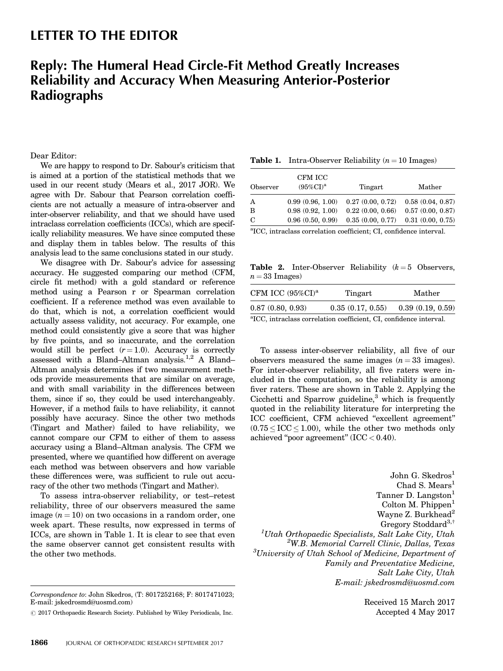## Reply: The Humeral Head Circle-Fit Method Greatly Increases Reliability and Accuracy When Measuring Anterior-Posterior Radiographs

Dear Editor:

We are happy to respond to Dr. Sabour's criticism that is aimed at a portion of the statistical methods that we used in our recent study (Mears et al., 2017 JOR). We agree with Dr. Sabour that Pearson correlation coefficients are not actually a measure of intra-observer and inter-observer reliability, and that we should have used intraclass correlation coefficients (ICCs), which are specifically reliability measures. We have since computed these and display them in tables below. The results of this analysis lead to the same conclusions stated in our study.

We disagree with Dr. Sabour's advice for assessing accuracy. He suggested comparing our method (CFM, circle fit method) with a gold standard or reference method using a Pearson r or Spearman correlation coefficient. If a reference method was even available to do that, which is not, a correlation coefficient would actually assess validity, not accuracy. For example, one method could consistently give a score that was higher by five points, and so inaccurate, and the correlation would still be perfect  $(r = 1.0)$ . Accuracy is correctly assessed with a Bland–Altman analysis.1,2 A Bland– Altman analysis determines if two measurement methods provide measurements that are similar on average, and with small variability in the differences between them, since if so, they could be used interchangeably. However, if a method fails to have reliability, it cannot possibly have accuracy. Since the other two methods (Tingart and Mather) failed to have reliability, we cannot compare our CFM to either of them to assess accuracy using a Bland–Altman analysis. The CFM we presented, where we quantified how different on average each method was between observers and how variable these differences were, was sufficient to rule out accuracy of the other two methods (Tingart and Mather).

To assess intra-observer reliability, or test–retest reliability, three of our observers measured the same image  $(n = 10)$  on two occasions in a random order, one week apart. These results, now expressed in terms of ICCs, are shown in Table 1. It is clear to see that even the same observer cannot get consistent results with the other two methods.

**Table 1.** Intra-Observer Reliability  $(n = 10 \text{ Images})$ 

| Observer | CFM ICC<br>$(95\%CI)^a$ | Tingart          | Mather           |
|----------|-------------------------|------------------|------------------|
| A        | 0.99(0.96, 1.00)        | 0.27(0.00, 0.72) | 0.58(0.04, 0.87) |
| B        | 0.98(0.92, 1.00)        | 0.22(0.00, 0.66) | 0.57(0.00, 0.87) |
| C        | 0.96(0.50, 0.99)        | 0.35(0.00, 0.77) | 0.31(0.00, 0.75) |

a ICC, intraclass correlation coefficient; CI, confidence interval.

**Table 2.** Inter-Observer Reliability  $(k = 5$  Observers,  $n = 33$  Images)

| CFM ICC $(95\%CI)^a$                                                           | Tingart                               | Mather |
|--------------------------------------------------------------------------------|---------------------------------------|--------|
| 0.87(0.80, 0.93)                                                               | $0.35(0.17, 0.55)$ $0.39(0.19, 0.59)$ |        |
| <sup>a</sup> ICC, intraclass correlation coefficient, CI, confidence interval. |                                       |        |

To assess inter-observer reliability, all five of our observers measured the same images  $(n = 33 \text{ images})$ . For inter-observer reliability, all five raters were included in the computation, so the reliability is among fiver raters. These are shown in Table 2. Applying the Cicchetti and Sparrow guideline, $3$  which is frequently quoted in the reliability literature for interpreting the ICC coefficient, CFM achieved "excellent agreement"  $(0.75 \leq \text{ICC} \leq 1.00)$ , while the other two methods only achieved "poor agreement" (ICC < 0.40).

John G. Skedros<sup>1</sup> Chad S. Mears<sup>1</sup> Tanner D. Langston<sup>1</sup> Colton M. Phippen<sup>1</sup> Wayne Z. Burkhead<sup>2</sup> Gregory Stoddard<sup>3,†</sup> 1 Utah Orthopaedic Specialists, Salt Lake City, Utah 2 W.B. Memorial Carrell Clinic, Dallas, Texas 3 University of Utah School of Medicine, Department of Family and Preventative Medicine, Salt Lake City, Utah E-mail: jskedrosmd@uosmd.com

> Received 15 March 2017 Accepted 4 May 2017

Correspondence to: John Skedros, (T: 8017252168; F: 8017471023; E-mail: jskedrosmd@uosmd.com)

 $\odot$  2017 Orthopaedic Research Society. Published by Wiley Periodicals, Inc.